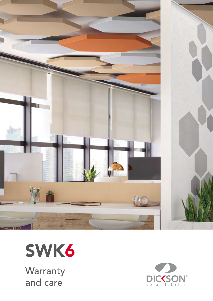



**Warranty** and care

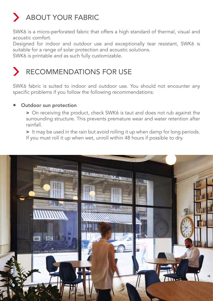# ABOUT YOUR FABRIC

SWK6 is a micro-perforated fabric that offers a high standard of thermal, visual and acoustic comfort.

Designed for indoor and outdoor use and exceptionally tear resistant, SWK6 is suitable for a range of solar protection and acoustic solutions.

SWK6 is printable and as such fully customizable.

## RECOMMENDATIONS FOR USE

SWK6 fabric is suited to indoor and outdoor use. You should not encounter any specific problems if you follow the following recommendations:

#### Outdoor sun protection

> On receiving the product, check SWK6 is taut and does not rub against the surrounding structure. This prevents premature wear and water retention after rainfall.

> It may be used in the rain but avoid rolling it up when damp for long periods. If you must roll it up when wet, unroll within 48 hours if possible to dry.

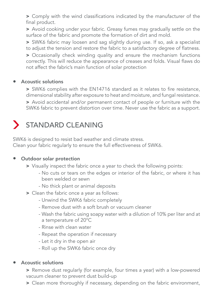> Comply with the wind classifications indicated by the manufacturer of the final product.

> Avoid cooking under your fabric. Greasy fumes may gradually settle on the surface of the fabric and promote the formation of dirt and mold.

> SWK6 fabric may loosen and sag slightly during use. If so, ask a specialist to adjust the tension and restore the fabric to a satisfactory degree of flatness.

> Occasionally check winding quality and ensure the mechanism functions correctly. This will reduce the appearance of creases and folds. Visual flaws do not affect the fabric's main function of solar protection

#### • Acoustic solutions

> SWK6 complies with the EN14716 standard as it relates to fire resistance, dimensional stability after exposure to heat and moisture, and fungal resistance.

> Avoid accidental and/or permanent contact of people or furniture with the SWK6 fabric to prevent distortion over time. Never use the fabric as a support.

## STANDARD CLEANING

SWK6 is designed to resist bad weather and climate stress. Clean your fabric regularly to ensure the full effectiveness of SWK6.

#### Outdoor solar protection

- > Visually inspect the fabric once a year to check the following points:
	- No cuts or tears on the edges or interior of the fabric, or where it has been welded or sewn
	- No thick plant or animal deposits
- > Clean the fabric once a year as follows:
	- Unwind the SWK6 fabric completely
	- Remove dust with a soft brush or vacuum cleaner
	- Wash the fabric using soapy water with a dilution of 10% per liter and at a temperature of 20°C
	- Rinse with clean water
	- Repeat the operation if necessary
	- Let it dry in the open air
	- Roll up the SWK6 fabric once dry

#### • Acoustic solutions

> Remove dust regularly (for example, four times a year) with a low-powered vacuum cleaner to prevent dust build-up

> Clean more thoroughly if necessary, depending on the fabric environment,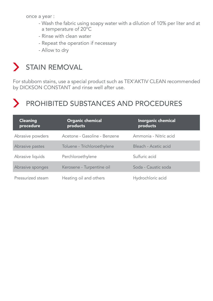once a year :

- Wash the fabric using soapy water with a dilution of 10% per liter and at a temperature of 20°C
- Rinse with clean water
- Repeat the operation if necessary
- Allow to dry

## STAIN REMOVAL

For stubborn stains, use a special product such as TEX'AKTIV CLEAN recommended by DICKSON CONSTANT and rinse well after use.

## PROHIBITED SUBSTANCES AND PROCEDURES

| <b>Cleaning</b><br>procedure | <b>Organic chemical</b><br>products | <b>Inorganic chemical</b><br>products |
|------------------------------|-------------------------------------|---------------------------------------|
| Abrasive powders             | Acetone - Gasoline - Benzene        | Ammonia - Nitric acid                 |
| Abrasive pastes              | Toluene - Trichloroethylene         | Bleach - Acetic acid                  |
| Abrasive liquids             | Perchloroethylene                   | Sulfuric acid                         |
| Abrasive sponges             | Kerosene - Turpentine oil           | Soda - Caustic soda                   |
| Pressurized steam            | Heating oil and others              | Hydrochloric acid                     |